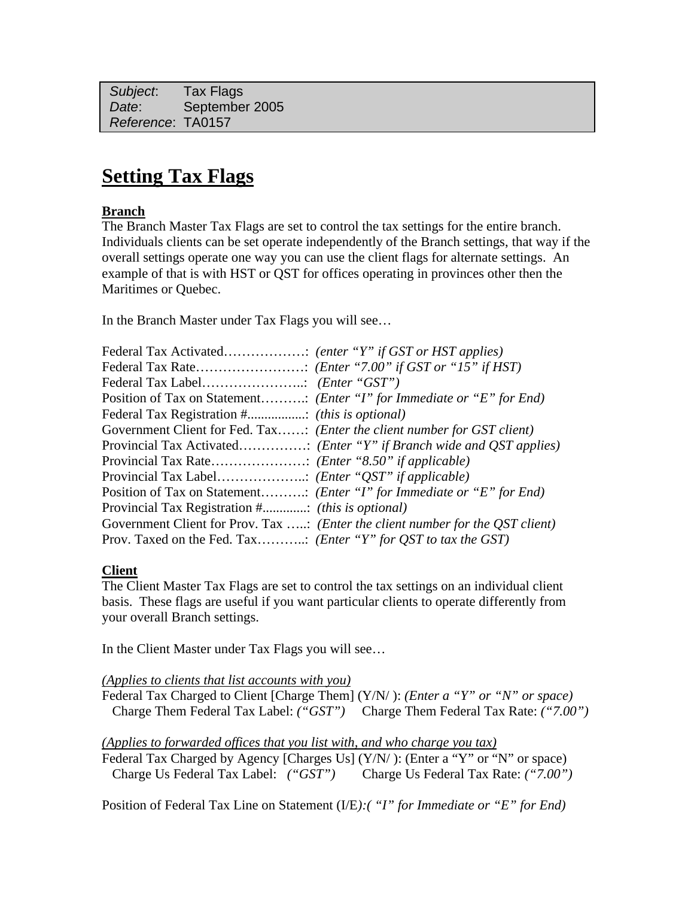*Subject*: Tax Flags  *Date*: September 2005 *Reference*: TA0157

## **Setting Tax Flags**

## **Branch**

The Branch Master Tax Flags are set to control the tax settings for the entire branch. Individuals clients can be set operate independently of the Branch settings, that way if the overall settings operate one way you can use the client flags for alternate settings. An example of that is with HST or QST for offices operating in provinces other then the Maritimes or Quebec.

In the Branch Master under Tax Flags you will see…

|                                                                         | Position of Tax on Statement ( <i>Enter "I" for Immediate or "E" for End</i> )          |
|-------------------------------------------------------------------------|-----------------------------------------------------------------------------------------|
|                                                                         |                                                                                         |
|                                                                         | Government Client for Fed. Tax: (Enter the client number for GST client)                |
|                                                                         |                                                                                         |
|                                                                         |                                                                                         |
|                                                                         |                                                                                         |
|                                                                         | Position of Tax on Statement ( <i>Enter "I" for Immediate or "E" for End</i> )          |
|                                                                         |                                                                                         |
|                                                                         | Government Client for Prov. Tax : ( <i>Enter the client number for the QST client</i> ) |
| Prov. Taxed on the Fed. Tax ( <i>Enter "Y" for QST to tax the GST</i> ) |                                                                                         |

## **Client**

The Client Master Tax Flags are set to control the tax settings on an individual client basis. These flags are useful if you want particular clients to operate differently from your overall Branch settings.

In the Client Master under Tax Flags you will see…

*(Applies to clients that list accounts with you)* 

Federal Tax Charged to Client [Charge Them] (Y/N/ ): *(Enter a "Y" or "N" or space)* Charge Them Federal Tax Label: *("GST")* Charge Them Federal Tax Rate: *("7.00")*

*(Applies to forwarded offices that you list with, and who charge you tax)*

Federal Tax Charged by Agency [Charges Us] (Y/N/): (Enter a "Y" or "N" or space) Charge Us Federal Tax Label: *("GST")* Charge Us Federal Tax Rate: *("7.00")*

Position of Federal Tax Line on Statement (I/E*):( "I" for Immediate or "E" for End)*